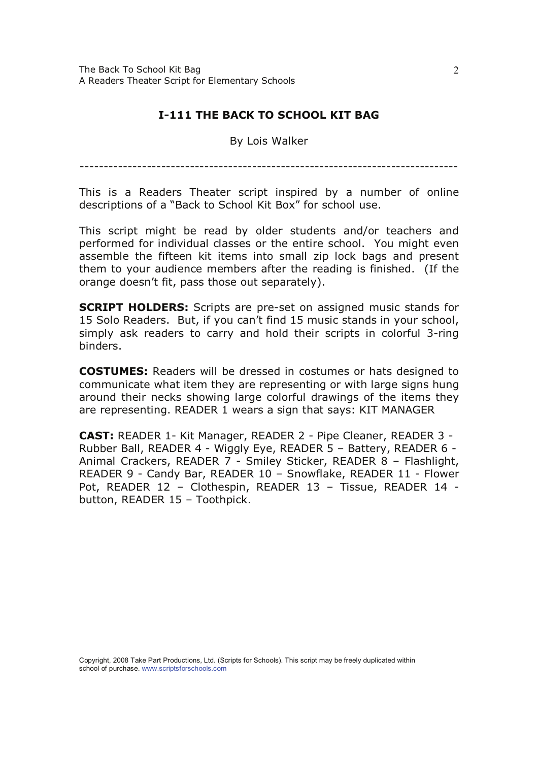## **I-111 THE BACK TO SCHOOL KIT BAG**

By Lois Walker

This is a Readers Theater script inspired by a number of online descriptions of a "Back to School Kit Box" for school use.

This script might be read by older students and/or teachers and performed for individual classes or the entire school. You might even assemble the fifteen kit items into small zip lock bags and present them to your audience members after the reading is finished. (If the orange doesn't fit, pass those out separately).

**SCRIPT HOLDERS:** Scripts are pre-set on assigned music stands for 15 Solo Readers. But, if you can't find 15 music stands in your school, simply ask readers to carry and hold their scripts in colorful 3-ring hinders.

**COSTUMES:** Readers will be dressed in costumes or hats designed to communicate what item they are representing or with large signs hung around their necks showing large colorful drawings of the items they are representing. READER 1 wears a sign that says: KIT MANAGER

CAST: READER 1- Kit Manager, READER 2 - Pipe Cleaner, READER 3 -Rubber Ball, READER 4 - Wiggly Eye, READER 5 - Battery, READER 6 -Animal Crackers, READER 7 - Smiley Sticker, READER 8 - Flashlight, READER 9 - Candy Bar, READER 10 - Snowflake, READER 11 - Flower Pot, READER 12 - Clothespin, READER 13 - Tissue, READER 14 button, READER 15 - Toothpick.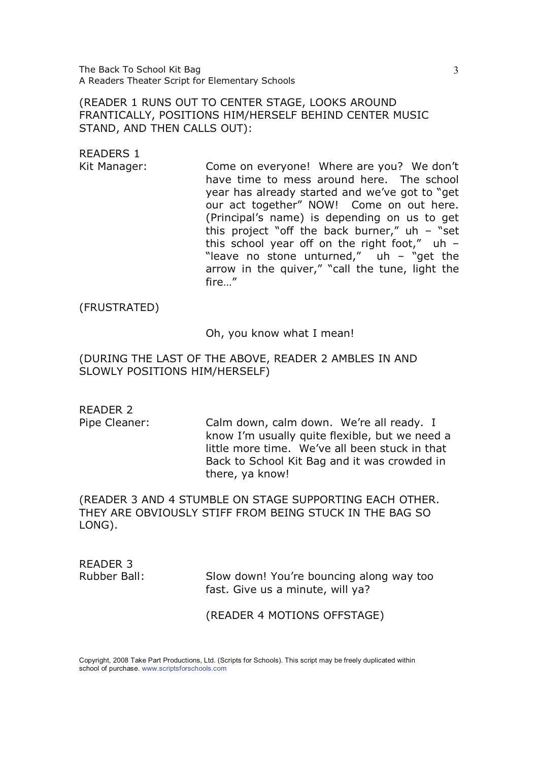The Back To School Kit Bag A Readers Theater Script for Elementary Schools

(READER 1 RUNS OUT TO CENTER STAGE, LOOKS AROUND FRANTICALLY, POSITIONS HIM/HERSELF BEHIND CENTER MUSIC STAND, AND THEN CALLS OUT):

READERS 1

Kit Manager: Come on everyone! Where are you? We don't have time to mess around here. The school year has already started and we've got to "get our act together" NOW! Come on out here. (Principal's name) is depending on us to get this project "off the back burner,"  $uh - "set$ this school year off on the right foot,"  $uh -$ "leave no stone unturned,"  $uh - "get the"$ arrow in the quiver," "call the tune, light the fire..."

(FRUSTRATED)

Oh, you know what I mean!

(DURING THE LAST OF THE ABOVE, READER 2 AMBLES IN AND SLOWLY POSITIONS HIM/HERSELF)

READER 2

Pipe Cleaner: Calm down, calm down. We're all ready. I know I'm usually quite flexible, but we need a little more time. We've all been stuck in that Back to School Kit Bag and it was crowded in there, ya know!

(READER 3 AND 4 STUMBLE ON STAGE SUPPORTING EACH OTHER. THEY ARE OBVIOUSLY STIFF FROM BEING STUCK IN THE BAG SO  $LONG$ ).

READER 3 Rubber Ball:

Slow down! You're bouncing along way too fast. Give us a minute, will ya?

(READER 4 MOTIONS OFFSTAGE)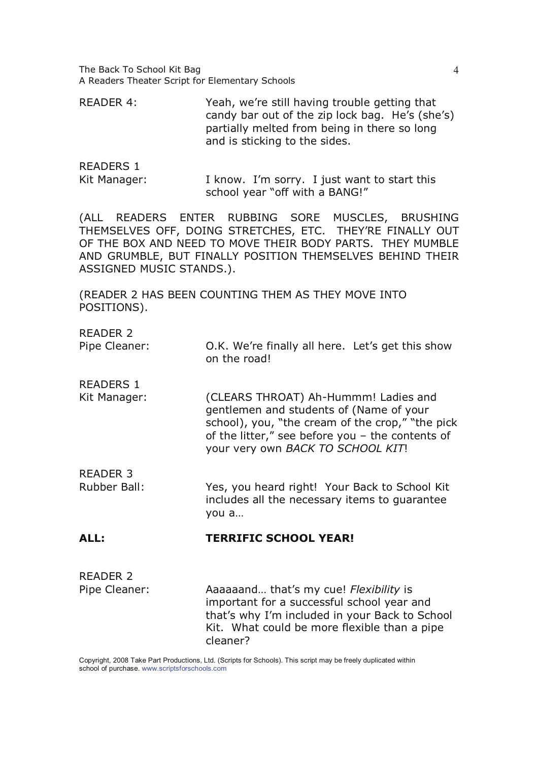The Back To School Kit Bag A Readers Theater Script for Elementary Schools

READER 4: Yeah, we're still having trouble getting that candy bar out of the zip lock bag. He's (she's) partially melted from being in there so long and is sticking to the sides.

READERS 1

Kit Manager:  $I$  know. I'm sorry. I just want to start this school year "off with a BANG!"

(ALL READERS ENTER RUBBING SORE MUSCLES, BRUSHING THEMSELVES OFF, DOING STRETCHES, ETC. THEY'RE FINALLY OUT OF THE BOX AND NEED TO MOVE THEIR BODY PARTS. THEY MUMBLE AND GRUMBLE, BUT FINALLY POSITION THEMSELVES BEHIND THEIR ASSIGNED MUSIC STANDS.).

(READER 2 HAS BEEN COUNTING THEM AS THEY MOVE INTO POSITIONS).

RFADFR<sub>2</sub>

Pipe Cleaner: 0.K. We're finally all here. Let's get this show on the road!

READERS 1 Kit Manager:

THROAT) Ah-Hummm! Ladies and gentlemen and students of (Name of your school), you, "the cream of the crop," "the pick of the litter," see before you - the contents of your very own *BACK TO SCHOOL KIT*!

READER 3

Rubber Ball: The Yes, you heard right! Your Back to School Kit includes all the necessary items to quarantee vou  $a...$ 

## --

| READER 2      |                                                |
|---------------|------------------------------------------------|
| Pipe Cleaner: | Aaaaaand that's my cue! Flexibility is         |
|               | important for a successful school year and     |
|               | that's why I'm included in your Back to School |
|               | Kit. What could be more flexible than a pipe   |
|               | cleaner?                                       |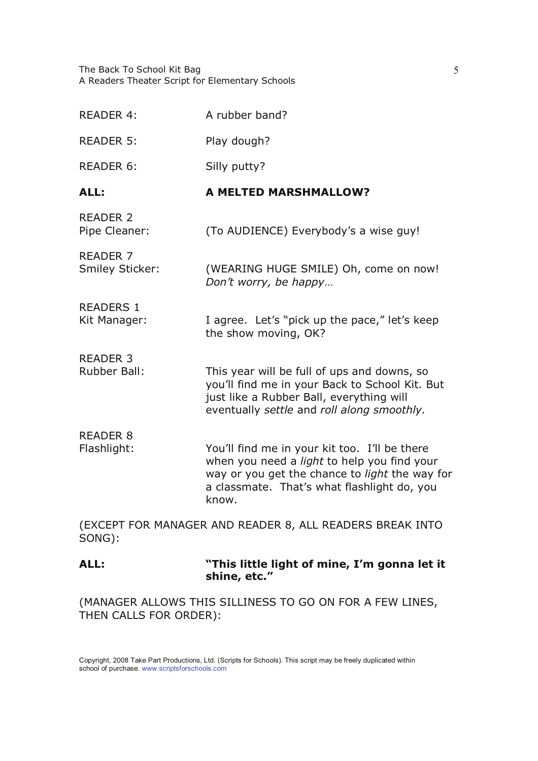The Back To School Kit Bag A Readers Theater Script for Elementary Schools

| <b>READER 4:</b>                       | A rubber band?                                                                                                                                                                                                       |
|----------------------------------------|----------------------------------------------------------------------------------------------------------------------------------------------------------------------------------------------------------------------|
| <b>READER 5:</b>                       | Play dough?                                                                                                                                                                                                          |
| <b>READER 6:</b>                       | Silly putty?                                                                                                                                                                                                         |
| ALL:                                   | <b>A MELTED MARSHMALLOW?</b>                                                                                                                                                                                         |
| <b>READER 2</b><br>Pipe Cleaner:       | (To AUDIENCE) Everybody's a wise guy!                                                                                                                                                                                |
| <b>READER 7</b><br>Smiley Sticker:     | (WEARING HUGE SMILE) Oh, come on now!<br>Don't worry, be happy                                                                                                                                                       |
| <b>READERS 1</b><br>Kit Manager:       | I agree. Let's "pick up the pace," let's keep<br>the show moving, OK?                                                                                                                                                |
| <b>READER 3</b><br><b>Rubber Ball:</b> | This year will be full of ups and downs, so<br>you'll find me in your Back to School Kit. But<br>just like a Rubber Ball, everything will<br>eventually settle and roll along smoothly.                              |
| <b>READER 8</b><br>Flashlight:         | You'll find me in your kit too. I'll be there<br>when you need a <i>light</i> to help you find your<br>way or you get the chance to <i>light</i> the way for<br>a classmate. That's what flashlight do, you<br>know. |
|                                        | (EXCEPT FOR MANAGER AND READER 8. ALL READERS BREAK INTO                                                                                                                                                             |

(EXCEPT FOR MANAGER AND READER 8, ALL READERS BREAK INTO SONG):

ALL: This little light of mine, I'm gonna let it Natural Politics shine, etc."

(MANAGER ALLOWS THIS SILLINESS TO GO ON FOR A FEW LINES, THEN CALLS FOR ORDER):